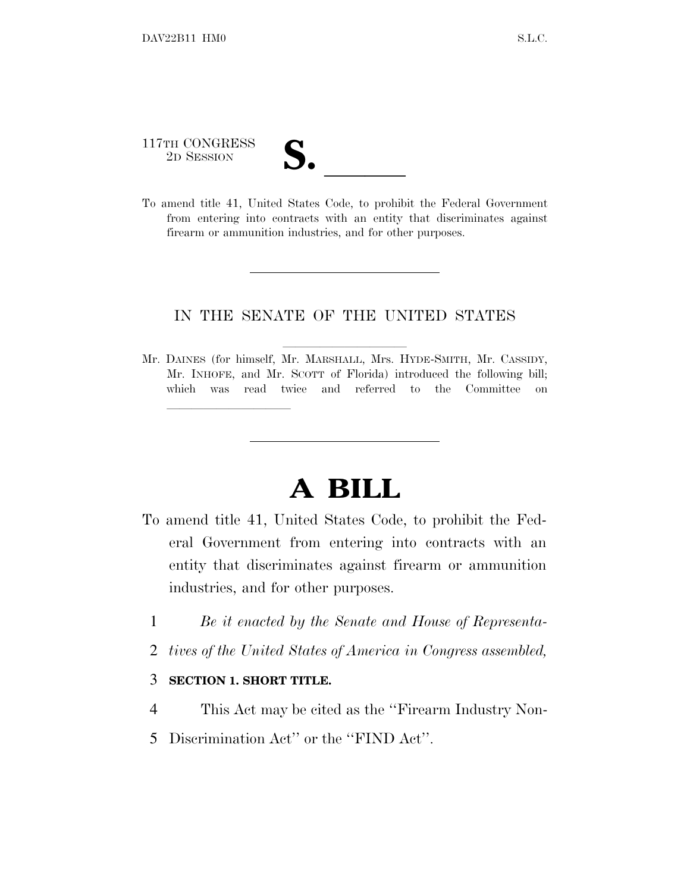117TH CONGRESS 117TH CONGRESS<br>
2D SESSION<br>
To amend title 41, United States Code, to prohibit the Federal Government

lla se anno 1920, a constituída a constituída a constituída a constituída a constituída a constituída a consti<br>En 1920, a constituída a constituída a constituída a constituída a constituída a constituída a constituída a c

from entering into contracts with an entity that discriminates against firearm or ammunition industries, and for other purposes.

## IN THE SENATE OF THE UNITED STATES

Mr. DAINES (for himself, Mr. MARSHALL, Mrs. HYDE-SMITH, Mr. CASSIDY, Mr. INHOFE, and Mr. SCOTT of Florida) introduced the following bill; which was read twice and referred to the Committee on

## **A BILL**

- To amend title 41, United States Code, to prohibit the Federal Government from entering into contracts with an entity that discriminates against firearm or ammunition industries, and for other purposes.
	- 1 *Be it enacted by the Senate and House of Representa-*
	- 2 *tives of the United States of America in Congress assembled,*

## 3 **SECTION 1. SHORT TITLE.**

- 4 This Act may be cited as the ''Firearm Industry Non-
- 5 Discrimination Act'' or the ''FIND Act''.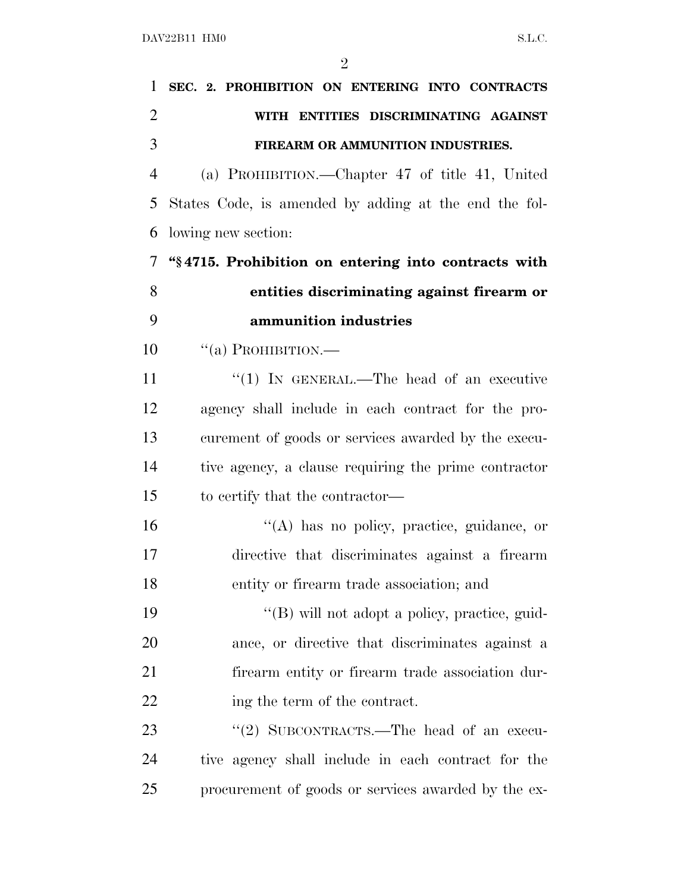| 1              | SEC. 2. PROHIBITION ON ENTERING INTO CONTRACTS        |
|----------------|-------------------------------------------------------|
| $\overline{2}$ | WITH ENTITIES DISCRIMINATING AGAINST                  |
| 3              | FIREARM OR AMMUNITION INDUSTRIES.                     |
| $\overline{4}$ | (a) PROHIBITION.—Chapter 47 of title 41, United       |
| 5              | States Code, is amended by adding at the end the fol- |
| 6              | lowing new section:                                   |
| 7              | "§4715. Prohibition on entering into contracts with   |
| 8              | entities discriminating against firearm or            |
| 9              | ammunition industries                                 |
| 10             | $``(a)$ PROHIBITION.—                                 |
| 11             | "(1) IN GENERAL.—The head of an executive             |
| 12             | agency shall include in each contract for the pro-    |
| 13             | curement of goods or services awarded by the execu-   |
| 14             | tive agency, a clause requiring the prime contractor  |
| 15             | to certify that the contractor—                       |
| 16             | $\lq\lq$ has no policy, practice, guidance, or        |
| 17             | directive that discriminates against a firearm        |
| 18             | entity or firearm trade association; and              |
| 19             | "(B) will not adopt a policy, practice, guid-         |
| 20             | ance, or directive that discriminates against a       |
| 21             | firearm entity or firearm trade association dur-      |
| 22             | ing the term of the contract.                         |
| 23             | "(2) SUBCONTRACTS.—The head of an execu-              |
| 24             | tive agency shall include in each contract for the    |
| 25             | procurement of goods or services awarded by the ex-   |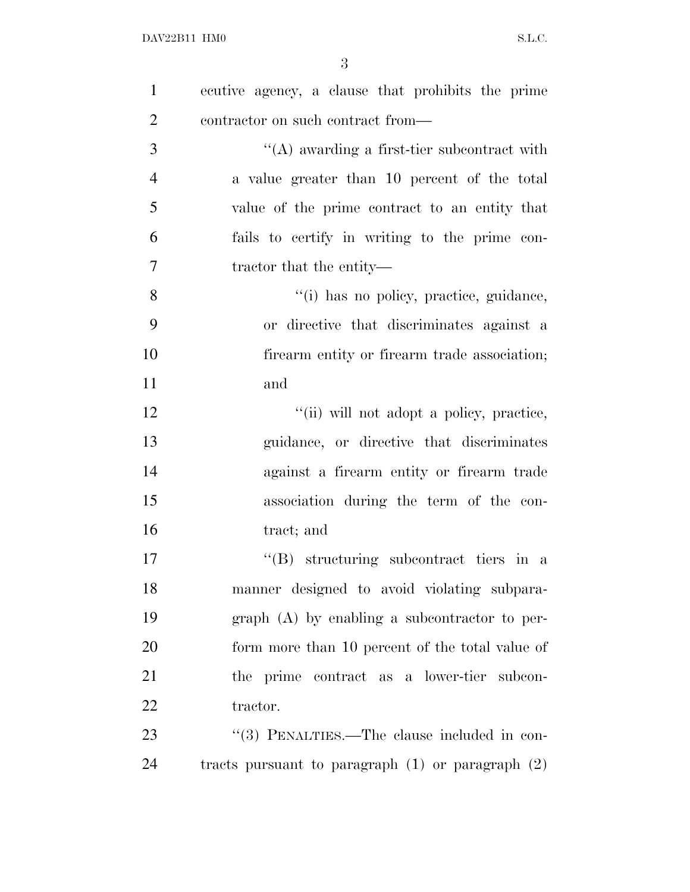| $\mathbf{1}$   | ecutive agency, a clause that prohibits the prime     |
|----------------|-------------------------------------------------------|
| $\overline{2}$ | contractor on such contract from—                     |
| 3              | $\lq\lq$ awarding a first-tier subcontract with       |
| $\overline{4}$ | a value greater than 10 percent of the total          |
| 5              | value of the prime contract to an entity that         |
| 6              | fails to certify in writing to the prime con-         |
| $\overline{7}$ | tractor that the entity—                              |
| 8              | "(i) has no policy, practice, guidance,               |
| 9              | or directive that discriminates against a             |
| 10             | firearm entity or firearm trade association;          |
| 11             | and                                                   |
| 12             | "(ii) will not adopt a policy, practice,              |
| 13             | guidance, or directive that discriminates             |
| 14             | against a firearm entity or firearm trade             |
| 15             | association during the term of the con-               |
| 16             | tract; and                                            |
| 17             | "(B) structuring subcontract tiers in a               |
| 18             | manner designed to avoid violating subpara-           |
| 19             | $graph(A)$ by enabling a subcontractor to per-        |
| 20             | form more than 10 percent of the total value of       |
| 21             | the prime contract as a lower-tier subcon-            |
| 22             | tractor.                                              |
| 23             | "(3) PENALTIES.—The clause included in con-           |
| 24             | tracts pursuant to paragraph $(1)$ or paragraph $(2)$ |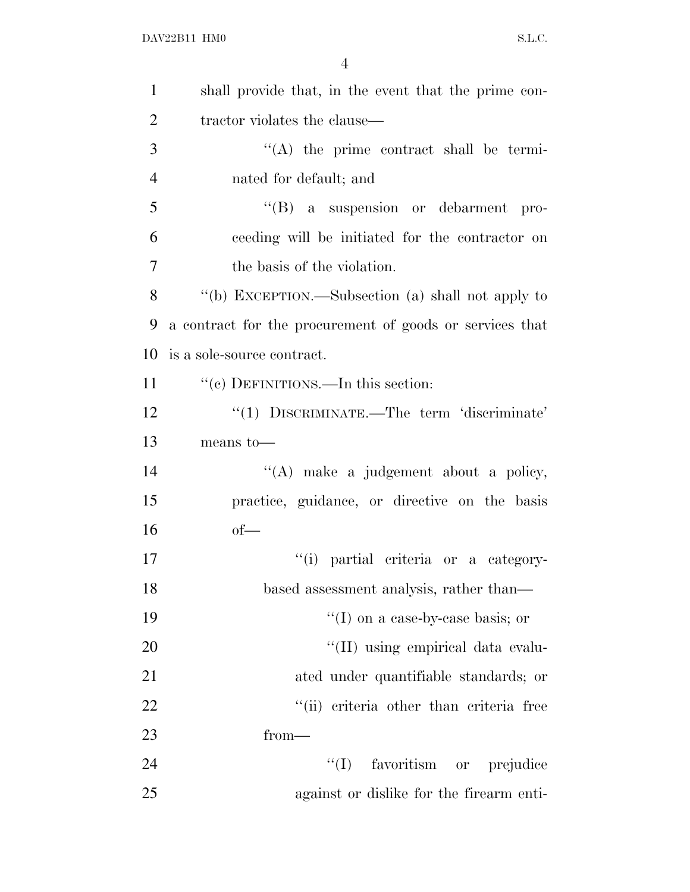| $\mathbf{1}$   | shall provide that, in the event that the prime con-     |
|----------------|----------------------------------------------------------|
| 2              | tractor violates the clause—                             |
| 3              | $\lq\lq$ the prime contract shall be termi-              |
| $\overline{4}$ | nated for default; and                                   |
| 5              | "(B) a suspension or debarment pro-                      |
| 6              | ceeding will be initiated for the contractor on          |
| 7              | the basis of the violation.                              |
| 8              | "(b) EXCEPTION.—Subsection (a) shall not apply to        |
| 9              | a contract for the procurement of goods or services that |
| 10             | is a sole-source contract.                               |
| 11             | "(c) DEFINITIONS.—In this section:                       |
| 12             | "(1) DISCRIMINATE.—The term 'discriminate'               |
| 13             | means to-                                                |
| 14             | "(A) make a judgement about a policy,                    |
| 15             | practice, guidance, or directive on the basis            |
| 16             | $of-$                                                    |
| 17             | "(i) partial criteria or a category-                     |
| 18             | based assessment analysis, rather than—                  |
| 19             | $\lq(1)$ on a case-by-case basis; or                     |
| 20             | "(II) using empirical data evalu-                        |
| 21             | ated under quantifiable standards; or                    |
| 22             | "(ii) criteria other than criteria free                  |
| 23             | from—                                                    |
| 24             | $\lq\lq (I)$<br>favoritism or prejudice                  |
| 25             | against or dislike for the firearm enti-                 |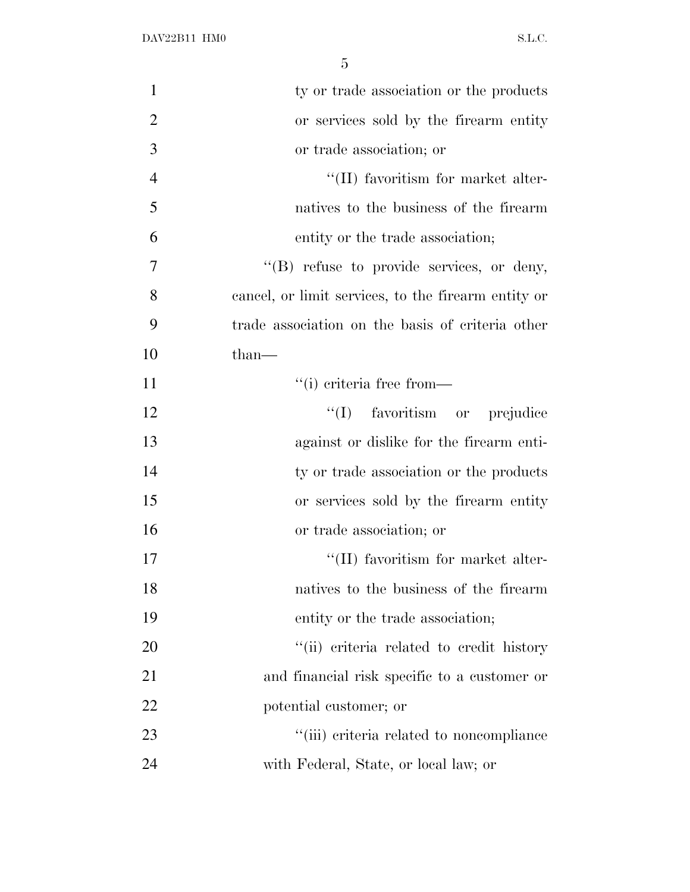| $\mathbf{1}$   | ty or trade association or the products             |
|----------------|-----------------------------------------------------|
| $\overline{2}$ | or services sold by the firearm entity              |
| 3              | or trade association; or                            |
| $\overline{4}$ | $\lq$ (II) favoritism for market alter-             |
| 5              | natives to the business of the firearm              |
| 6              | entity or the trade association;                    |
| 7              | "(B) refuse to provide services, or deny,           |
| 8              | cancel, or limit services, to the firearm entity or |
| 9              | trade association on the basis of criteria other    |
| 10             | than—                                               |
| 11             | $``(i)$ criteria free from—                         |
| 12             | "(I) favoritism or prejudice                        |
| 13             | against or dislike for the firearm enti-            |
| 14             | ty or trade association or the products             |
| 15             | or services sold by the firearm entity              |
| 16             | or trade association; or                            |
| 17             | "(II) favoritism for market alter-                  |
| 18             | natives to the business of the firearm              |
| 19             | entity or the trade association;                    |
| 20             | "(ii) criteria related to credit history            |
| 21             | and financial risk specific to a customer or        |
| 22             | potential customer; or                              |
| 23             | "(iii) criteria related to noncompliance            |
| 24             | with Federal, State, or local law; or               |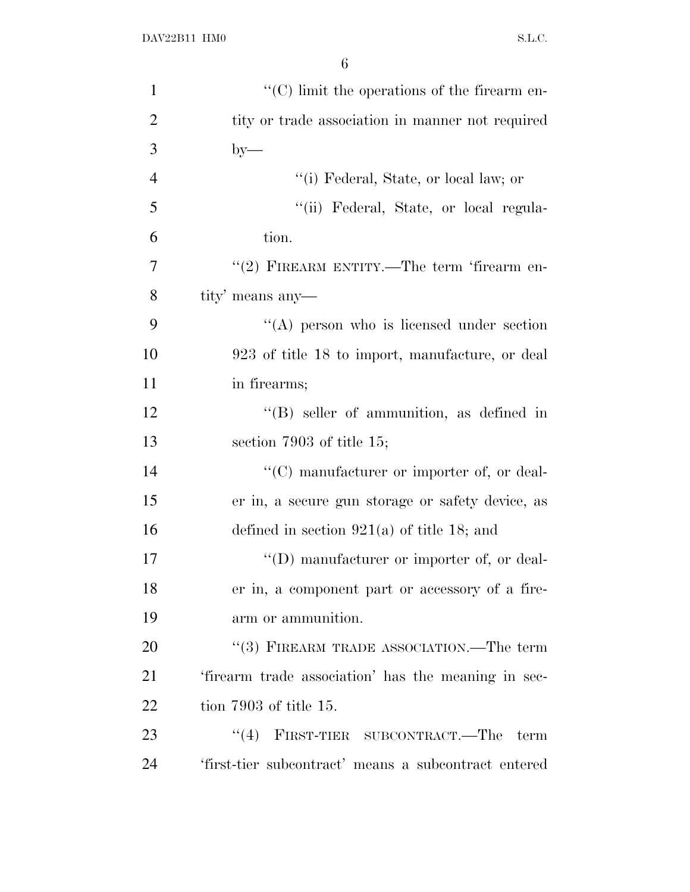| $\mathbf{1}$   | $\lq\lq$ (C) limit the operations of the firearm en- |
|----------------|------------------------------------------------------|
| $\overline{2}$ | tity or trade association in manner not required     |
| 3              | $by-$                                                |
| $\overline{4}$ | "(i) Federal, State, or local law; or                |
| 5              | "(ii) Federal, State, or local regula-               |
| 6              | tion.                                                |
| 7              | "(2) FIREARM ENTITY.—The term 'firearm en-           |
| 8              | tity' means any-                                     |
| 9              | $\lq\lq$ person who is licensed under section        |
| 10             | 923 of title 18 to import, manufacture, or deal      |
| 11             | in firearms;                                         |
| 12             | $\lq\lq (B)$ seller of ammunition, as defined in     |
| 13             | section 7903 of title $15$ ;                         |
| 14             | $\lq\lq$ (C) manufacturer or importer of, or deal-   |
| 15             | er in, a secure gun storage or safety device, as     |
| 16             | defined in section $921(a)$ of title 18; and         |
| 17             | "(D) manufacturer or importer of, or deal-           |
| 18             | er in, a component part or accessory of a fire-      |
| 19             | arm or ammunition.                                   |
| 20             | "(3) FIREARM TRADE ASSOCIATION.—The term             |
| 21             | 'firearm trade association' has the meaning in sec-  |
| 22             | tion $7903$ of title 15.                             |
| 23             | (4)<br>FIRST-TIER SUBCONTRACT.—The<br>term           |
| 24             | 'first-tier subcontract' means a subcontract entered |